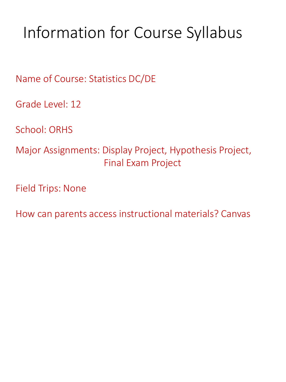# Information for Course Syllabus

Name of Course: Statistics DC/DE

Grade Level: 12

School: ORHS

Major Assignments: Display Project, Hypothesis Project, Final Exam Project

Field Trips: None

How can parents access instructional materials? Canvas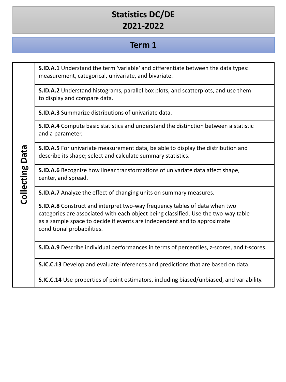# **Statistics DC/DE 2021-2022**

#### **Term 1**

**S.ID.A.1** Understand the term 'variable' and differentiate between the data types: measurement, categorical, univariate, and bivariate.

**S.ID.A.2** Understand histograms, parallel box plots, and scatterplots, and use them to display and compare data.

**S.ID.A.3** Summarize distributions of univariate data.

**S.ID.A.4** Compute basic statistics and understand the distinction between a statistic and a parameter.

**S.ID.A.5** For univariate measurement data, be able to display the distribution and describe its shape; select and calculate summary statistics.

**S.ID.A.6** Recognize how linear transformations of univariate data affect shape, center, and spread.

**S.ID.A.7** Analyze the effect of changing units on summary measures.

**S.ID.A.8** Construct and interpret two-way frequency tables of data when two categories are associated with each object being classified. Use the two-way table as a sample space to decide if events are independent and to approximate conditional probabilities.

**S.ID.A.9** Describe individual performances in terms of percentiles, z-scores, and t-scores.

**S.IC.C.13** Develop and evaluate inferences and predictions that are based on data.

**S.IC.C.14** Use properties of point estimators, including biased/unbiased, and variability.

**Collecting Data Collecting Data**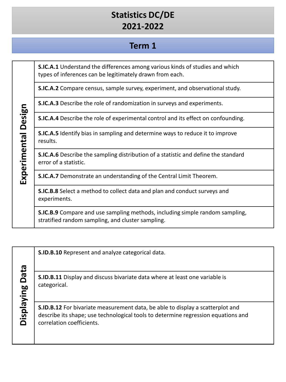# **Statistics DC/DE 2021-2022**

### **Term 1**

**S.IC.A.1** Understand the differences among various kinds of studies and which types of inferences can be legitimately drawn from each.

**S.IC.A.2** Compare census, sample survey, experiment, and observational study.

**S.IC.A.3** Describe the role of randomization in surveys and experiments.

**S.IC.A.4** Describe the role of experimental control and its effect on confounding.

**S.IC.A.5** Identify bias in sampling and determine ways to reduce it to improve results.

**S.IC.A.6** Describe the sampling distribution of a statistic and define the standard error of a statistic.

**S.IC.A.7** Demonstrate an understanding of the Central Limit Theorem.

**S.IC.B.8** Select a method to collect data and plan and conduct surveys and experiments.

**S.IC.B.9** Compare and use sampling methods, including simple random sampling, stratified random sampling, and cluster sampling.

|        | ത          |
|--------|------------|
| お<br>ہ |            |
|        | 60         |
| ⊆      |            |
|        | λe         |
|        | <b>OSI</b> |
|        |            |
|        |            |

**S.ID.B.10** Represent and analyze categorical data.

**S.ID.B.11** Display and discuss bivariate data where at least one variable is categorical.

**S.ID.B.12** For bivariate measurement data, be able to display a scatterplot and describe its shape; use technological tools to determine regression equations and correlation coefficients.

Experimental Design **Experimental Design**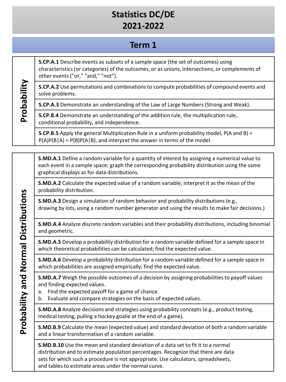# **Statistics DC/DE 2021-2022**

## **Term 1**

**S.CP.A.1** Describe events as subsets of a sample space (the set of outcomes) using characteristics (or categories) of the outcomes, or as unions, intersections, or complements of other events ("or," "and," "not").

**S.CP.A.2** Use permutations and combinations to compute probabilities of compound events and solve problems.

**S.CP.A.3** Demonstrate an understanding of the Law of Large Numbers (Strong and Weak).

**S.CP.B.4** Demonstrate an understanding of the addition rule, the multiplication rule, conditional probability, and independence.

**S.CP.B.5** Apply the general Multiplication Rule in a uniform probability model, P(A and B) =  $P(A)P(B|A) = P(B)P(A|B)$ , and interpret the answer in terms of the model.

**S.MD.A.1** Define a random variable for a quantity of interest by assigning a numerical value to each event in a sample space; graph the corresponding probability distribution using the same graphical displays as for data distributions.

**S.MD.A.2** Calculate the expected value of a random variable; interpret it as the mean of the probability distribution.

**S.MD.A.3** Design a simulation of random behavior and probability distributions (e.g., drawing by lots, using a random number generator and using the results to make fair decisions.)

**S.MD.A.4** Analyze discrete random variables and their probability distributions, including binomial and geometric.

**S.MD.A.5** Develop a probability distribution for a random variable defined for a sample space in which theoretical probabilities can be calculated; find the expected value.

**S.MD.A.6** Develop a probability distribution for a random variable defined for a sample space in which probabilities are assigned empirically; find the expected value.

**S.MD.A.7** Weigh the possible outcomes of a decision by assigning probabilities to payoff values and finding expected values.

- a. Find the expected payoff for a game of chance.
- b. Evaluate and compare strategies on the basis of expected values.

**S.MD.A.8** Analyze decisions and strategies using probability concepts (e.g., product testing, medical testing, pulling a hockey goalie at the end of a game).

**S.MD.B.9** Calculate the mean (expected value) and standard deviation of both a random variable and a linear transformation of a random variable.

**S.MD.B.10** Use the mean and standard deviation of a data set to fit it to a normal distribution and to estimate population percentages. Recognize that there are data sets for which such a procedure is not appropriate. Use calculators, spreadsheets, and tables to estimate areas under the normal curve.

**Probability**

Probability